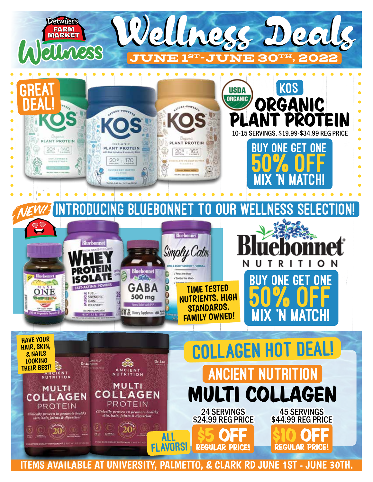

ITEMS AVAILABLE AT UNIVERSITY, PALMETTO, & CLARK RD JUNE 1ST - JUNE 30TH.